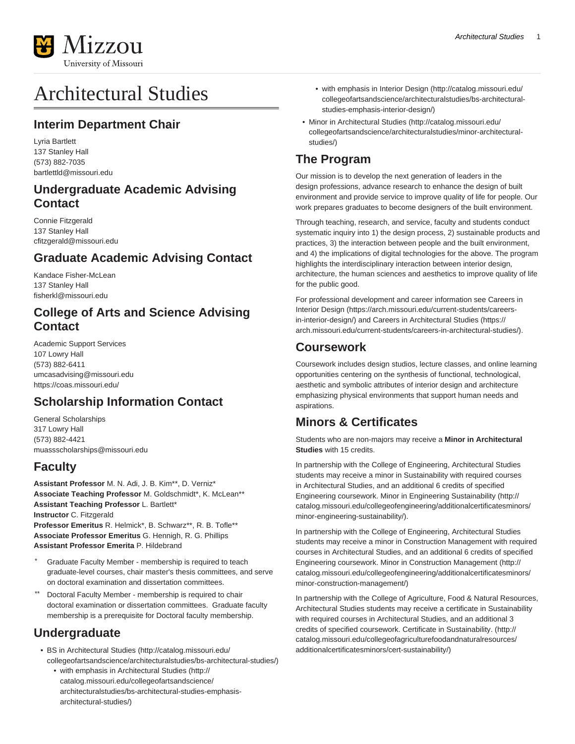

# Architectural Studies

### **Interim Department Chair**

Lyria Bartlett 137 Stanley Hall (573) 882-7035 [bartlettld@missouri.edu](mailto:bartlettld@missouri.edu)

### **Undergraduate Academic Advising Contact**

Connie Fitzgerald 137 Stanley Hall [cfitzgerald@missouri.edu](mailto:cfitzgerald@missouri.edu)

### **Graduate Academic Advising Contact**

Kandace Fisher-McLean 137 Stanley Hall [fisherkl@missouri.edu](mailto:fisherkl@missouri.edu)

### **College of Arts and Science Advising Contact**

Academic Support Services 107 Lowry Hall (573) 882-6411 [umcasadvising@missouri.edu](mailto:umcasadvising@missouri.edu) <https://coas.missouri.edu/>

### **Scholarship Information Contact**

General Scholarships 317 Lowry Hall (573) 882-4421 [muassscholarships@missouri.edu](mailto:muassscholarships@missouri.edu)

### **Faculty**

**Assistant Professor** M. N. Adi, J. B. Kim\*\*, D. Verniz\* **Associate Teaching Professor** M. Goldschmidt\*, K. McLean\*\* **Assistant Teaching Professor** L. Bartlett\* **Instructor** C. Fitzgerald **Professor Emeritus** R. Helmick\*, B. Schwarz\*\*, R. B. Tofle\*\* **Associate Professor Emeritus** G. Hennigh, R. G. Phillips **Assistant Professor Emerita** P. Hildebrand

- Graduate Faculty Member membership is required to teach graduate-level courses, chair master's thesis committees, and serve on doctoral examination and dissertation committees.
- Doctoral Faculty Member membership is required to chair doctoral examination or dissertation committees. Graduate faculty membership is a prerequisite for Doctoral faculty membership.

### **Undergraduate**

- [BS in Architectural Studies](http://catalog.missouri.edu/collegeofartsandscience/architecturalstudies/bs-architectural-studies/) ([http://catalog.missouri.edu/](http://catalog.missouri.edu/collegeofartsandscience/architecturalstudies/bs-architectural-studies/) [collegeofartsandscience/architecturalstudies/bs-architectural-studies/](http://catalog.missouri.edu/collegeofartsandscience/architecturalstudies/bs-architectural-studies/))
	- [with emphasis in Architectural Studies](http://catalog.missouri.edu/collegeofartsandscience/architecturalstudies/bs-architectural-studies-emphasis-architectural-studies/) ([http://](http://catalog.missouri.edu/collegeofartsandscience/architecturalstudies/bs-architectural-studies-emphasis-architectural-studies/) [catalog.missouri.edu/collegeofartsandscience/](http://catalog.missouri.edu/collegeofartsandscience/architecturalstudies/bs-architectural-studies-emphasis-architectural-studies/) [architecturalstudies/bs-architectural-studies-emphasis](http://catalog.missouri.edu/collegeofartsandscience/architecturalstudies/bs-architectural-studies-emphasis-architectural-studies/)[architectural-studies/\)](http://catalog.missouri.edu/collegeofartsandscience/architecturalstudies/bs-architectural-studies-emphasis-architectural-studies/)
- [with emphasis in Interior Design](http://catalog.missouri.edu/collegeofartsandscience/architecturalstudies/bs-architectural-studies-emphasis-interior-design/) [\(http://catalog.missouri.edu/](http://catalog.missouri.edu/collegeofartsandscience/architecturalstudies/bs-architectural-studies-emphasis-interior-design/) [collegeofartsandscience/architecturalstudies/bs-architectural](http://catalog.missouri.edu/collegeofartsandscience/architecturalstudies/bs-architectural-studies-emphasis-interior-design/)[studies-emphasis-interior-design/\)](http://catalog.missouri.edu/collegeofartsandscience/architecturalstudies/bs-architectural-studies-emphasis-interior-design/)
- [Minor in Architectural Studies](http://catalog.missouri.edu/collegeofartsandscience/architecturalstudies/minor-architectural-studies/) ([http://catalog.missouri.edu/](http://catalog.missouri.edu/collegeofartsandscience/architecturalstudies/minor-architectural-studies/) [collegeofartsandscience/architecturalstudies/minor-architectural](http://catalog.missouri.edu/collegeofartsandscience/architecturalstudies/minor-architectural-studies/)[studies/\)](http://catalog.missouri.edu/collegeofartsandscience/architecturalstudies/minor-architectural-studies/)

## **The Program**

Our mission is to develop the next generation of leaders in the design professions, advance research to enhance the design of built environment and provide service to improve quality of life for people. Our work prepares graduates to become designers of the built environment.

Through teaching, research, and service, faculty and students conduct systematic inquiry into 1) the design process, 2) sustainable products and practices, 3) the interaction between people and the built environment, and 4) the implications of digital technologies for the above. The program highlights the interdisciplinary interaction between interior design, architecture, the human sciences and aesthetics to improve quality of life for the public good.

For professional development and career information see [Careers in](https://arch.missouri.edu/current-students/careers-in-interior-design/) [Interior Design](https://arch.missouri.edu/current-students/careers-in-interior-design/) ([https://arch.missouri.edu/current-students/careers](https://arch.missouri.edu/current-students/careers-in-interior-design/)[in-interior-design/\)](https://arch.missouri.edu/current-students/careers-in-interior-design/) and [Careers in Architectural Studies](https://arch.missouri.edu/current-students/careers-in-architectural-studies/) ([https://](https://arch.missouri.edu/current-students/careers-in-architectural-studies/) [arch.missouri.edu/current-students/careers-in-architectural-studies/](https://arch.missouri.edu/current-students/careers-in-architectural-studies/)).

### **Coursework**

Coursework includes design studios, lecture classes, and online learning opportunities centering on the synthesis of functional, technological, aesthetic and symbolic attributes of interior design and architecture emphasizing physical environments that support human needs and aspirations.

## **Minors & Certificates**

Students who are non-majors may receive a **Minor in Architectural Studies** with 15 credits.

In partnership with the College of Engineering, Architectural Studies students may receive a minor in Sustainability with required courses in Architectural Studies, and an additional 6 credits of specified Engineering coursework. [Minor in Engineering Sustainability](http://catalog.missouri.edu/collegeofengineering/additionalcertificatesminors/minor-engineering-sustainability/) ([http://](http://catalog.missouri.edu/collegeofengineering/additionalcertificatesminors/minor-engineering-sustainability/) [catalog.missouri.edu/collegeofengineering/additionalcertificatesminors/](http://catalog.missouri.edu/collegeofengineering/additionalcertificatesminors/minor-engineering-sustainability/) [minor-engineering-sustainability/](http://catalog.missouri.edu/collegeofengineering/additionalcertificatesminors/minor-engineering-sustainability/)).

In partnership with the College of Engineering, Architectural Studies students may receive a minor in Construction Management with required courses in Architectural Studies, and an additional 6 credits of specified Engineering coursework. [Minor in Construction Management](http://catalog.missouri.edu/collegeofengineering/additionalcertificatesminors/minor-construction-management/) ([http://](http://catalog.missouri.edu/collegeofengineering/additionalcertificatesminors/minor-construction-management/) [catalog.missouri.edu/collegeofengineering/additionalcertificatesminors/](http://catalog.missouri.edu/collegeofengineering/additionalcertificatesminors/minor-construction-management/) [minor-construction-management/](http://catalog.missouri.edu/collegeofengineering/additionalcertificatesminors/minor-construction-management/))

In partnership with the College of Agriculture, Food & Natural Resources, Architectural Studies students may receive a certificate in Sustainability with required courses in Architectural Studies, and an additional 3 credits of specified coursework. [Certificate in Sustainability.](http://catalog.missouri.edu/collegeofagriculturefoodandnaturalresources/additionalcertificatesminors/cert-sustainability/) ([http://](http://catalog.missouri.edu/collegeofagriculturefoodandnaturalresources/additionalcertificatesminors/cert-sustainability/) [catalog.missouri.edu/collegeofagriculturefoodandnaturalresources/](http://catalog.missouri.edu/collegeofagriculturefoodandnaturalresources/additionalcertificatesminors/cert-sustainability/) [additionalcertificatesminors/cert-sustainability/\)](http://catalog.missouri.edu/collegeofagriculturefoodandnaturalresources/additionalcertificatesminors/cert-sustainability/)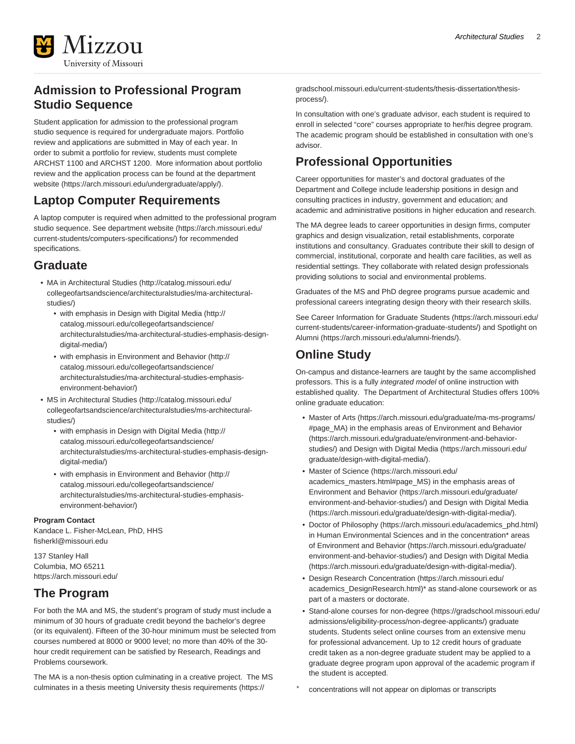

### **Admission to Professional Program Studio Sequence**

Student application for admission to the professional program studio sequence is required for undergraduate majors. Portfolio review and applications are submitted in May of each year. In order to submit a portfolio for review, students must complete ARCHST 1100 and ARCHST 1200. More information about portfolio review and the application process can be found at the [department](https://arch.missouri.edu/undergraduate/apply/) [website](https://arch.missouri.edu/undergraduate/apply/) [\(https://arch.missouri.edu/undergraduate/apply/\)](https://arch.missouri.edu/undergraduate/apply/).

### **Laptop Computer Requirements**

A laptop computer is required when admitted to the professional program studio sequence. See [department website](https://arch.missouri.edu/current-students/computers-specifications/) ([https://arch.missouri.edu/](https://arch.missouri.edu/current-students/computers-specifications/) [current-students/computers-specifications/](https://arch.missouri.edu/current-students/computers-specifications/)) for recommended specifications.

### **Graduate**

- [MA in Architectural Studies](http://catalog.missouri.edu/collegeofartsandscience/architecturalstudies/ma-architectural-studies/) ([http://catalog.missouri.edu/](http://catalog.missouri.edu/collegeofartsandscience/architecturalstudies/ma-architectural-studies/) [collegeofartsandscience/architecturalstudies/ma-architectural](http://catalog.missouri.edu/collegeofartsandscience/architecturalstudies/ma-architectural-studies/)[studies/\)](http://catalog.missouri.edu/collegeofartsandscience/architecturalstudies/ma-architectural-studies/)
	- [with emphasis in Design with Digital Media](http://catalog.missouri.edu/collegeofartsandscience/architecturalstudies/ma-architectural-studies-emphasis-design-digital-media/) [\(http://](http://catalog.missouri.edu/collegeofartsandscience/architecturalstudies/ma-architectural-studies-emphasis-design-digital-media/) [catalog.missouri.edu/collegeofartsandscience/](http://catalog.missouri.edu/collegeofartsandscience/architecturalstudies/ma-architectural-studies-emphasis-design-digital-media/) [architecturalstudies/ma-architectural-studies-emphasis-design](http://catalog.missouri.edu/collegeofartsandscience/architecturalstudies/ma-architectural-studies-emphasis-design-digital-media/)[digital-media/\)](http://catalog.missouri.edu/collegeofartsandscience/architecturalstudies/ma-architectural-studies-emphasis-design-digital-media/)
	- [with emphasis in Environment and Behavior](http://catalog.missouri.edu/collegeofartsandscience/architecturalstudies/ma-architectural-studies-emphasis-environment-behavior/) ([http://](http://catalog.missouri.edu/collegeofartsandscience/architecturalstudies/ma-architectural-studies-emphasis-environment-behavior/) [catalog.missouri.edu/collegeofartsandscience/](http://catalog.missouri.edu/collegeofartsandscience/architecturalstudies/ma-architectural-studies-emphasis-environment-behavior/) [architecturalstudies/ma-architectural-studies-emphasis](http://catalog.missouri.edu/collegeofartsandscience/architecturalstudies/ma-architectural-studies-emphasis-environment-behavior/)[environment-behavior/\)](http://catalog.missouri.edu/collegeofartsandscience/architecturalstudies/ma-architectural-studies-emphasis-environment-behavior/)
- [MS in Architectural Studies](http://catalog.missouri.edu/collegeofartsandscience/architecturalstudies/ms-architectural-studies/) ([http://catalog.missouri.edu/](http://catalog.missouri.edu/collegeofartsandscience/architecturalstudies/ms-architectural-studies/) [collegeofartsandscience/architecturalstudies/ms-architectural](http://catalog.missouri.edu/collegeofartsandscience/architecturalstudies/ms-architectural-studies/)[studies/\)](http://catalog.missouri.edu/collegeofartsandscience/architecturalstudies/ms-architectural-studies/)
	- [with emphasis in Design with Digital Media](http://catalog.missouri.edu/collegeofartsandscience/architecturalstudies/ms-architectural-studies-emphasis-design-digital-media/) [\(http://](http://catalog.missouri.edu/collegeofartsandscience/architecturalstudies/ms-architectural-studies-emphasis-design-digital-media/) [catalog.missouri.edu/collegeofartsandscience/](http://catalog.missouri.edu/collegeofartsandscience/architecturalstudies/ms-architectural-studies-emphasis-design-digital-media/) [architecturalstudies/ms-architectural-studies-emphasis-design](http://catalog.missouri.edu/collegeofartsandscience/architecturalstudies/ms-architectural-studies-emphasis-design-digital-media/)[digital-media/\)](http://catalog.missouri.edu/collegeofartsandscience/architecturalstudies/ms-architectural-studies-emphasis-design-digital-media/)
	- [with emphasis in Environment and Behavior](http://catalog.missouri.edu/collegeofartsandscience/architecturalstudies/ms-architectural-studies-emphasis-environment-behavior/) ([http://](http://catalog.missouri.edu/collegeofartsandscience/architecturalstudies/ms-architectural-studies-emphasis-environment-behavior/) [catalog.missouri.edu/collegeofartsandscience/](http://catalog.missouri.edu/collegeofartsandscience/architecturalstudies/ms-architectural-studies-emphasis-environment-behavior/) [architecturalstudies/ms-architectural-studies-emphasis](http://catalog.missouri.edu/collegeofartsandscience/architecturalstudies/ms-architectural-studies-emphasis-environment-behavior/)[environment-behavior/\)](http://catalog.missouri.edu/collegeofartsandscience/architecturalstudies/ms-architectural-studies-emphasis-environment-behavior/)

#### **Program Contact**

Kandace L. Fisher-McLean, PhD, HHS [fisherkl@missouri.edu](mailto:fisherkl@missouri.edu)

137 Stanley Hall Columbia, MO 65211 <https://arch.missouri.edu/>

### **The Program**

For both the MA and MS, the student's program of study must include a minimum of 30 hours of graduate credit beyond the bachelor's degree (or its equivalent). Fifteen of the 30-hour minimum must be selected from courses numbered at 8000 or 9000 level; no more than 40% of the 30 hour credit requirement can be satisfied by Research, Readings and Problems coursework.

The MA is a non-thesis option culminating in a creative project. The MS culminates in a thesis meeting [University thesis requirements \(https://](https://gradschool.missouri.edu/current-students/thesis-dissertation/thesis-process/)

[gradschool.missouri.edu/current-students/thesis-dissertation/thesis](https://gradschool.missouri.edu/current-students/thesis-dissertation/thesis-process/)[process/](https://gradschool.missouri.edu/current-students/thesis-dissertation/thesis-process/)).

In consultation with one's graduate advisor, each student is required to enroll in selected "core" courses appropriate to her/his degree program. The academic program should be established in consultation with one's advisor.

### **Professional Opportunities**

Career opportunities for master's and doctoral graduates of the Department and College include leadership positions in design and consulting practices in industry, government and education; and academic and administrative positions in higher education and research.

The MA degree leads to career opportunities in design firms, computer graphics and design visualization, retail establishments, corporate institutions and consultancy. Graduates contribute their skill to design of commercial, institutional, corporate and health care facilities, as well as residential settings. They collaborate with related design professionals providing solutions to social and environmental problems.

Graduates of the MS and PhD degree programs pursue academic and professional careers integrating design theory with their research skills.

See [Career Information for Graduate Students](https://arch.missouri.edu/current-students/career-information-graduate-students/) ([https://arch.missouri.edu/](https://arch.missouri.edu/current-students/career-information-graduate-students/) [current-students/career-information-graduate-students/](https://arch.missouri.edu/current-students/career-information-graduate-students/)) and [Spotlight on](https://arch.missouri.edu/alumni-friends/) [Alumni](https://arch.missouri.edu/alumni-friends/) [\(https://arch.missouri.edu/alumni-friends/](https://arch.missouri.edu/alumni-friends/)).

### **Online Study**

On-campus and distance-learners are taught by the same accomplished professors. This is a fully integrated model of online instruction with established quality. The Department of Architectural Studies offers 100% online graduate education:

- [Master of Arts](https://arch.missouri.edu/graduate/ma-ms-programs/#page_MA) ([https://arch.missouri.edu/graduate/ma-ms-programs/](https://arch.missouri.edu/graduate/ma-ms-programs/#page_MA) [#page\\_MA\)](https://arch.missouri.edu/graduate/ma-ms-programs/#page_MA) in the emphasis areas of [Environment and Behavior](https://arch.missouri.edu/graduate/environment-and-behavior-studies/) ([https://arch.missouri.edu/graduate/environment-and-behavior](https://arch.missouri.edu/graduate/environment-and-behavior-studies/)[studies/\)](https://arch.missouri.edu/graduate/environment-and-behavior-studies/) and [Design with Digital Media](https://arch.missouri.edu/graduate/design-with-digital-media/) ([https://arch.missouri.edu/](https://arch.missouri.edu/graduate/design-with-digital-media/) [graduate/design-with-digital-media/](https://arch.missouri.edu/graduate/design-with-digital-media/)).
- [Master of Science](https://arch.missouri.edu/academics_masters.html#page_MS) ([https://arch.missouri.edu/](https://arch.missouri.edu/academics_masters.html#page_MS) [academics\\_masters.html#page\\_MS](https://arch.missouri.edu/academics_masters.html#page_MS)) in the emphasis areas of [Environment and Behavior](https://arch.missouri.edu/graduate/environment-and-behavior-studies/) [\(https://arch.missouri.edu/graduate/](https://arch.missouri.edu/graduate/environment-and-behavior-studies/) [environment-and-behavior-studies/\)](https://arch.missouri.edu/graduate/environment-and-behavior-studies/) and [Design with Digital Media](https://arch.missouri.edu/graduate/design-with-digital-media/) ([https://arch.missouri.edu/graduate/design-with-digital-media/\)](https://arch.missouri.edu/graduate/design-with-digital-media/).
- [Doctor of Philosophy](https://arch.missouri.edu/academics_phd.html) ([https://arch.missouri.edu/academics\\_phd.html](https://arch.missouri.edu/academics_phd.html)) in Human Environmental Sciences and in the concentration\* areas of [Environment and Behavior](https://arch.missouri.edu/graduate/environment-and-behavior-studies/) [\(https://arch.missouri.edu/graduate/](https://arch.missouri.edu/graduate/environment-and-behavior-studies/) [environment-and-behavior-studies/\)](https://arch.missouri.edu/graduate/environment-and-behavior-studies/) and [Design with Digital Media](https://arch.missouri.edu/graduate/design-with-digital-media/) ([https://arch.missouri.edu/graduate/design-with-digital-media/\)](https://arch.missouri.edu/graduate/design-with-digital-media/).
- [Design Research Concentration](https://arch.missouri.edu/academics_DesignResearch.html) [\(https://arch.missouri.edu/](https://arch.missouri.edu/academics_DesignResearch.html) [academics\\_DesignResearch.html](https://arch.missouri.edu/academics_DesignResearch.html))\* as stand-alone coursework or as part of a masters or doctorate.
- [Stand-alone courses for non-degree](https://gradschool.missouri.edu/admissions/eligibility-process/non-degree-applicants/) ([https://gradschool.missouri.edu/](https://gradschool.missouri.edu/admissions/eligibility-process/non-degree-applicants/) [admissions/eligibility-process/non-degree-applicants/](https://gradschool.missouri.edu/admissions/eligibility-process/non-degree-applicants/)) graduate students. Students select online courses from an extensive menu for professional advancement. Up to 12 credit hours of graduate credit taken as a non-degree graduate student may be applied to a graduate degree program upon approval of the academic program if the student is accepted.
- concentrations will not appear on diplomas or transcripts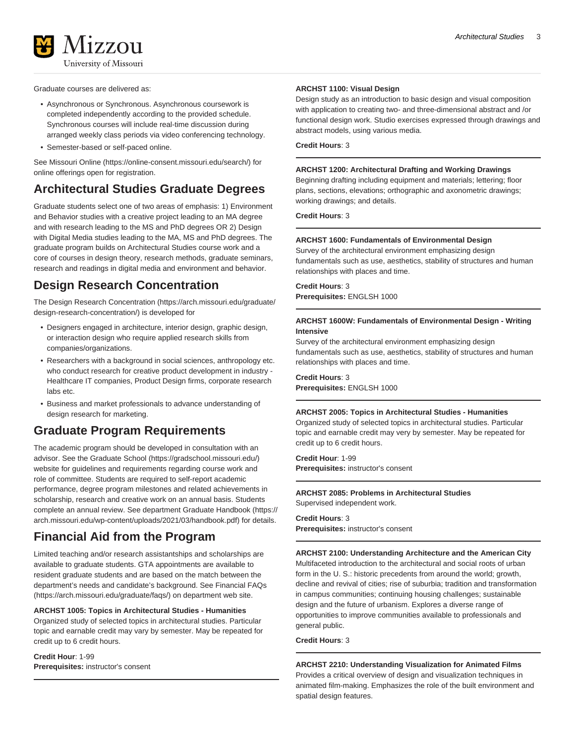

Graduate courses are delivered as:

- Asynchronous or Synchronous. Asynchronous coursework is completed independently according to the provided schedule. Synchronous courses will include real-time discussion during arranged weekly class periods via video conferencing technology.
- Semester-based or self-paced online.

See [Missouri Online \(https://online-consent.missouri.edu/search/\)](https://online-consent.missouri.edu/search/) for online offerings open for registration.

### **Architectural Studies Graduate Degrees**

Graduate students select one of two areas of emphasis: 1) Environment and Behavior studies with a creative project leading to an MA degree and with research leading to the MS and PhD degrees OR 2) Design with Digital Media studies leading to the MA, MS and PhD degrees. The graduate program builds on Architectural Studies course work and a core of courses in design theory, research methods, graduate seminars, research and readings in digital media and environment and behavior.

### **Design Research Concentration**

The [Design Research Concentration](https://arch.missouri.edu/graduate/design-research-concentration/) [\(https://arch.missouri.edu/graduate/](https://arch.missouri.edu/graduate/design-research-concentration/) [design-research-concentration/](https://arch.missouri.edu/graduate/design-research-concentration/)) is developed for

- Designers engaged in architecture, interior design, graphic design, or interaction design who require applied research skills from companies/organizations.
- Researchers with a background in social sciences, anthropology etc. who conduct research for creative product development in industry - Healthcare IT companies, Product Design firms, corporate research labs etc.
- Business and market professionals to advance understanding of design research for marketing.

### **Graduate Program Requirements**

The academic program should be developed in consultation with an advisor. See the [Graduate School](https://gradschool.missouri.edu/) ([https://gradschool.missouri.edu/\)](https://gradschool.missouri.edu/) website for guidelines and requirements regarding course work and role of committee. Students are required to self-report academic performance, degree program milestones and related achievements in scholarship, research and creative work on an annual basis. Students complete an annual review. See department [Graduate Handbook](https://arch.missouri.edu/wp-content/uploads/2021/03/handbook.pdf) ([https://](https://arch.missouri.edu/wp-content/uploads/2021/03/handbook.pdf) [arch.missouri.edu/wp-content/uploads/2021/03/handbook.pdf\)](https://arch.missouri.edu/wp-content/uploads/2021/03/handbook.pdf) for details.

### **Financial Aid from the Program**

Limited teaching and/or research assistantships and scholarships are available to graduate students. GTA appointments are available to resident graduate students and are based on the match between the department's needs and candidate's background. See [Financial FAQs](https://arch.missouri.edu/graduate/faqs/) (<https://arch.missouri.edu/graduate/faqs/>) on department web site.

#### **ARCHST 1005: Topics in Architectural Studies - Humanities**

Organized study of selected topics in architectural studies. Particular topic and earnable credit may vary by semester. May be repeated for credit up to 6 credit hours.

**Credit Hour**: 1-99 **Prerequisites:** instructor's consent

#### **ARCHST 1100: Visual Design**

Design study as an introduction to basic design and visual composition with application to creating two- and three-dimensional abstract and /or functional design work. Studio exercises expressed through drawings and abstract models, using various media.

#### **Credit Hours**: 3

#### **ARCHST 1200: Architectural Drafting and Working Drawings**

Beginning drafting including equipment and materials; lettering; floor plans, sections, elevations; orthographic and axonometric drawings; working drawings; and details.

**Credit Hours**: 3

#### **ARCHST 1600: Fundamentals of Environmental Design**

Survey of the architectural environment emphasizing design fundamentals such as use, aesthetics, stability of structures and human relationships with places and time.

**Credit Hours**: 3 **Prerequisites:** ENGLSH 1000

#### **ARCHST 1600W: Fundamentals of Environmental Design - Writing Intensive**

Survey of the architectural environment emphasizing design fundamentals such as use, aesthetics, stability of structures and human relationships with places and time.

**Credit Hours**: 3 **Prerequisites:** ENGLSH 1000

#### **ARCHST 2005: Topics in Architectural Studies - Humanities**

Organized study of selected topics in architectural studies. Particular topic and earnable credit may very by semester. May be repeated for credit up to 6 credit hours.

**Credit Hour**: 1-99 **Prerequisites:** instructor's consent

**ARCHST 2085: Problems in Architectural Studies** Supervised independent work.

**Credit Hours**: 3 **Prerequisites:** instructor's consent

**ARCHST 2100: Understanding Architecture and the American City** Multifaceted introduction to the architectural and social roots of urban form in the U. S.: historic precedents from around the world; growth, decline and revival of cities; rise of suburbia; tradition and transformation in campus communities; continuing housing challenges; sustainable design and the future of urbanism. Explores a diverse range of opportunities to improve communities available to professionals and general public.

#### **Credit Hours**: 3

**ARCHST 2210: Understanding Visualization for Animated Films** Provides a critical overview of design and visualization techniques in animated film-making. Emphasizes the role of the built environment and spatial design features.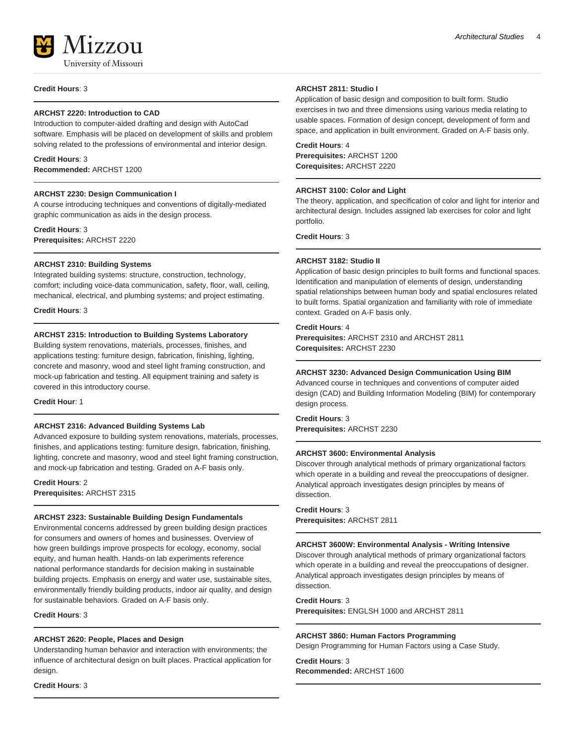**Credit Hours**: 3

#### **ARCHST 2220: Introduction to CAD**

Introduction to computer-aided drafting and design with AutoCad software. Emphasis will be placed on development of skills and problem solving related to the professions of environmental and interior design.

#### **Credit Hours**: 3

**Recommended:** ARCHST 1200

#### **ARCHST 2230: Design Communication I**

A course introducing techniques and conventions of digitally-mediated graphic communication as aids in the design process.

**Credit Hours**: 3 **Prerequisites:** ARCHST 2220

#### **ARCHST 2310: Building Systems**

Integrated building systems: structure, construction, technology, comfort; including voice-data communication, safety, floor, wall, ceiling, mechanical, electrical, and plumbing systems; and project estimating.

**Credit Hours**: 3

#### **ARCHST 2315: Introduction to Building Systems Laboratory**

Building system renovations, materials, processes, finishes, and applications testing: furniture design, fabrication, finishing, lighting, concrete and masonry, wood and steel light framing construction, and mock-up fabrication and testing. All equipment training and safety is covered in this introductory course.

**Credit Hour**: 1

#### **ARCHST 2316: Advanced Building Systems Lab**

Advanced exposure to building system renovations, materials, processes, finishes, and applications testing: furniture design, fabrication, finishing, lighting, concrete and masonry, wood and steel light framing construction, and mock-up fabrication and testing. Graded on A-F basis only.

**Credit Hours**: 2 **Prerequisites:** ARCHST 2315

#### **ARCHST 2323: Sustainable Building Design Fundamentals**

Environmental concerns addressed by green building design practices for consumers and owners of homes and businesses. Overview of how green buildings improve prospects for ecology, economy, social equity, and human health. Hands-on lab experiments reference national performance standards for decision making in sustainable building projects. Emphasis on energy and water use, sustainable sites, environmentally friendly building products, indoor air quality, and design for sustainable behaviors. Graded on A-F basis only.

#### **Credit Hours**: 3

#### **ARCHST 2620: People, Places and Design**

Understanding human behavior and interaction with environments; the influence of architectural design on built places. Practical application for design.

**Credit Hours**: 3

#### **ARCHST 2811: Studio I**

Application of basic design and composition to built form. Studio exercises in two and three dimensions using various media relating to usable spaces. Formation of design concept, development of form and space, and application in built environment. Graded on A-F basis only.

#### **Credit Hours**: 4

**Prerequisites:** ARCHST 1200 **Corequisites:** ARCHST 2220

#### **ARCHST 3100: Color and Light**

The theory, application, and specification of color and light for interior and architectural design. Includes assigned lab exercises for color and light portfolio.

**Credit Hours**: 3

#### **ARCHST 3182: Studio II**

Application of basic design principles to built forms and functional spaces. Identification and manipulation of elements of design, understanding spatial relationships between human body and spatial enclosures related to built forms. Spatial organization and familiarity with role of immediate context. Graded on A-F basis only.

#### **Credit Hours**: 4

**Prerequisites:** ARCHST 2310 and ARCHST 2811 **Corequisites:** ARCHST 2230

#### **ARCHST 3230: Advanced Design Communication Using BIM**

Advanced course in techniques and conventions of computer aided design (CAD) and Building Information Modeling (BIM) for contemporary design process.

### **Credit Hours**: 3

**Prerequisites:** ARCHST 2230

#### **ARCHST 3600: Environmental Analysis**

Discover through analytical methods of primary organizational factors which operate in a building and reveal the preoccupations of designer. Analytical approach investigates design principles by means of dissection.

#### **Credit Hours**: 3

**Prerequisites:** ARCHST 2811

#### **ARCHST 3600W: Environmental Analysis - Writing Intensive**

Discover through analytical methods of primary organizational factors which operate in a building and reveal the preoccupations of designer. Analytical approach investigates design principles by means of dissection.

#### **Credit Hours**: 3

**Prerequisites:** ENGLSH 1000 and ARCHST 2811

#### **ARCHST 3860: Human Factors Programming**

Design Programming for Human Factors using a Case Study.

**Credit Hours**: 3 **Recommended:** ARCHST 1600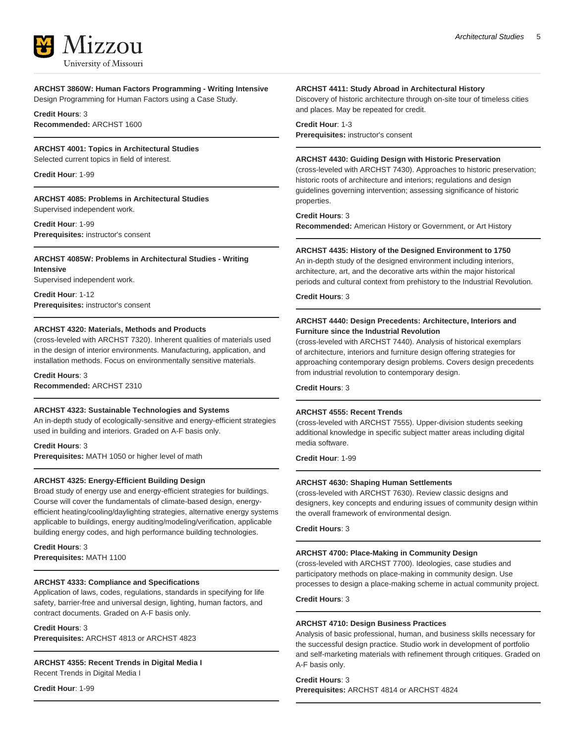

**ARCHST 3860W: Human Factors Programming - Writing Intensive** Design Programming for Human Factors using a Case Study.

#### **Credit Hours**: 3 **Recommended:** ARCHST 1600

#### **ARCHST 4001: Topics in Architectural Studies**

Selected current topics in field of interest.

**Credit Hour**: 1-99

**ARCHST 4085: Problems in Architectural Studies** Supervised independent work.

**Credit Hour**: 1-99 **Prerequisites:** instructor's consent

#### **ARCHST 4085W: Problems in Architectural Studies - Writing Intensive**

Supervised independent work.

**Credit Hour**: 1-12 **Prerequisites:** instructor's consent

#### **ARCHST 4320: Materials, Methods and Products**

(cross-leveled with ARCHST 7320). Inherent qualities of materials used in the design of interior environments. Manufacturing, application, and installation methods. Focus on environmentally sensitive materials.

#### **Credit Hours**: 3 **Recommended:** ARCHST 2310

#### **ARCHST 4323: Sustainable Technologies and Systems**

An in-depth study of ecologically-sensitive and energy-efficient strategies used in building and interiors. Graded on A-F basis only.

**Credit Hours**: 3 **Prerequisites:** MATH 1050 or higher level of math

#### **ARCHST 4325: Energy-Efficient Building Design**

Broad study of energy use and energy-efficient strategies for buildings. Course will cover the fundamentals of climate-based design, energyefficient heating/cooling/daylighting strategies, alternative energy systems applicable to buildings, energy auditing/modeling/verification, applicable building energy codes, and high performance building technologies.

**Credit Hours**: 3 **Prerequisites:** MATH 1100

#### **ARCHST 4333: Compliance and Specifications**

Application of laws, codes, regulations, standards in specifying for life safety, barrier-free and universal design, lighting, human factors, and contract documents. Graded on A-F basis only.

#### **Credit Hours**: 3

**Prerequisites:** ARCHST 4813 or ARCHST 4823

**ARCHST 4355: Recent Trends in Digital Media I**

Recent Trends in Digital Media I

**Credit Hour**: 1-99

#### **ARCHST 4411: Study Abroad in Architectural History**

Discovery of historic architecture through on-site tour of timeless cities and places. May be repeated for credit.

**Credit Hour**: 1-3

**Prerequisites:** instructor's consent

#### **ARCHST 4430: Guiding Design with Historic Preservation**

(cross-leveled with ARCHST 7430). Approaches to historic preservation; historic roots of architecture and interiors; regulations and design guidelines governing intervention; assessing significance of historic properties.

**Credit Hours**: 3

**Recommended:** American History or Government, or Art History

#### **ARCHST 4435: History of the Designed Environment to 1750**

An in-depth study of the designed environment including interiors, architecture, art, and the decorative arts within the major historical periods and cultural context from prehistory to the Industrial Revolution.

#### **Credit Hours**: 3

#### **ARCHST 4440: Design Precedents: Architecture, Interiors and Furniture since the Industrial Revolution**

(cross-leveled with ARCHST 7440). Analysis of historical exemplars of architecture, interiors and furniture design offering strategies for approaching contemporary design problems. Covers design precedents from industrial revolution to contemporary design.

**Credit Hours**: 3

#### **ARCHST 4555: Recent Trends**

(cross-leveled with ARCHST 7555). Upper-division students seeking additional knowledge in specific subject matter areas including digital media software.

**Credit Hour**: 1-99

#### **ARCHST 4630: Shaping Human Settlements**

(cross-leveled with ARCHST 7630). Review classic designs and designers, key concepts and enduring issues of community design within the overall framework of environmental design.

**Credit Hours**: 3

#### **ARCHST 4700: Place-Making in Community Design**

(cross-leveled with ARCHST 7700). Ideologies, case studies and participatory methods on place-making in community design. Use processes to design a place-making scheme in actual community project.

**Credit Hours**: 3

#### **ARCHST 4710: Design Business Practices**

Analysis of basic professional, human, and business skills necessary for the successful design practice. Studio work in development of portfolio and self-marketing materials with refinement through critiques. Graded on A-F basis only.

#### **Credit Hours**: 3

**Prerequisites:** ARCHST 4814 or ARCHST 4824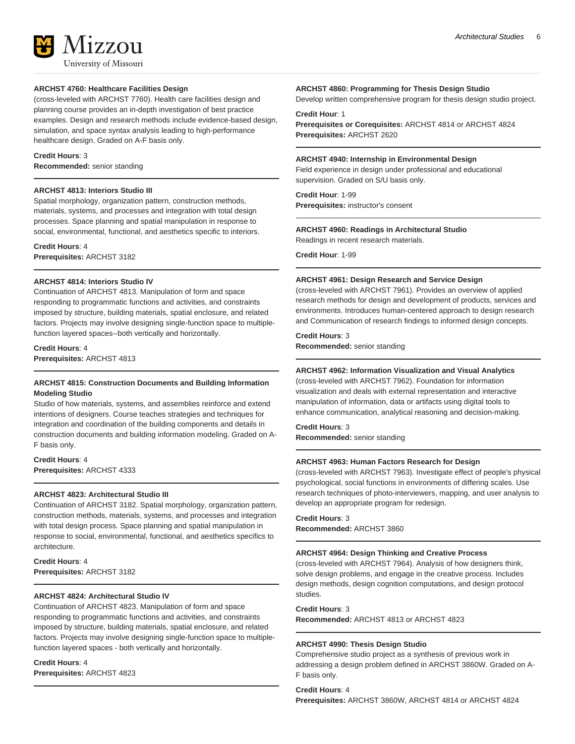

#### **ARCHST 4760: Healthcare Facilities Design**

(cross-leveled with ARCHST 7760). Health care facilities design and planning course provides an in-depth investigation of best practice examples. Design and research methods include evidence-based design, simulation, and space syntax analysis leading to high-performance healthcare design. Graded on A-F basis only.

#### **Credit Hours**: 3

**Recommended:** senior standing

#### **ARCHST 4813: Interiors Studio III**

Spatial morphology, organization pattern, construction methods, materials, systems, and processes and integration with total design processes. Space planning and spatial manipulation in response to social, environmental, functional, and aesthetics specific to interiors.

#### **Credit Hours**: 4

**Prerequisites:** ARCHST 3182

#### **ARCHST 4814: Interiors Studio IV**

Continuation of ARCHST 4813. Manipulation of form and space responding to programmatic functions and activities, and constraints imposed by structure, building materials, spatial enclosure, and related factors. Projects may involve designing single-function space to multiplefunction layered spaces--both vertically and horizontally.

**Credit Hours**: 4 **Prerequisites:** ARCHST 4813

#### **ARCHST 4815: Construction Documents and Building Information Modeling Studio**

Studio of how materials, systems, and assemblies reinforce and extend intentions of designers. Course teaches strategies and techniques for integration and coordination of the building components and details in construction documents and building information modeling. Graded on A-F basis only.

**Credit Hours**: 4 **Prerequisites:** ARCHST 4333

#### **ARCHST 4823: Architectural Studio III**

Continuation of ARCHST 3182. Spatial morphology, organization pattern, construction methods, materials, systems, and processes and integration with total design process. Space planning and spatial manipulation in response to social, environmental, functional, and aesthetics specifics to architecture.

**Credit Hours**: 4 **Prerequisites:** ARCHST 3182

#### **ARCHST 4824: Architectural Studio IV**

Continuation of ARCHST 4823. Manipulation of form and space responding to programmatic functions and activities, and constraints imposed by structure, building materials, spatial enclosure, and related factors. Projects may involve designing single-function space to multiplefunction layered spaces - both vertically and horizontally.

**Credit Hours**: 4 **Prerequisites:** ARCHST 4823

#### **ARCHST 4860: Programming for Thesis Design Studio**

Develop written comprehensive program for thesis design studio project.

#### **Credit Hour**: 1

**Prerequisites or Corequisites:** ARCHST 4814 or ARCHST 4824 **Prerequisites:** ARCHST 2620

#### **ARCHST 4940: Internship in Environmental Design**

Field experience in design under professional and educational supervision. Graded on S/U basis only.

#### **Credit Hour**: 1-99

**Prerequisites:** instructor's consent

#### **ARCHST 4960: Readings in Architectural Studio**

Readings in recent research materials.

**Credit Hour**: 1-99

#### **ARCHST 4961: Design Research and Service Design**

(cross-leveled with ARCHST 7961). Provides an overview of applied research methods for design and development of products, services and environments. Introduces human-centered approach to design research and Communication of research findings to informed design concepts.

#### **Credit Hours**: 3

**Recommended:** senior standing

#### **ARCHST 4962: Information Visualization and Visual Analytics**

(cross-leveled with ARCHST 7962). Foundation for information visualization and deals with external representation and interactive manipulation of information, data or artifacts using digital tools to enhance communication, analytical reasoning and decision-making.

**Credit Hours**: 3

**Recommended:** senior standing

#### **ARCHST 4963: Human Factors Research for Design**

(cross-leveled with ARCHST 7963). Investigate effect of people's physical psychological, social functions in environments of differing scales. Use research techniques of photo-interviewers, mapping, and user analysis to develop an appropriate program for redesign.

### **Credit Hours**: 3

**Recommended:** ARCHST 3860

#### **ARCHST 4964: Design Thinking and Creative Process**

(cross-leveled with ARCHST 7964). Analysis of how designers think, solve design problems, and engage in the creative process. Includes design methods, design cognition computations, and design protocol studies.

#### **Credit Hours**: 3

**Recommended:** ARCHST 4813 or ARCHST 4823

#### **ARCHST 4990: Thesis Design Studio**

Comprehensive studio project as a synthesis of previous work in addressing a design problem defined in ARCHST 3860W. Graded on A-F basis only.

**Credit Hours**: 4

**Prerequisites:** ARCHST 3860W, ARCHST 4814 or ARCHST 4824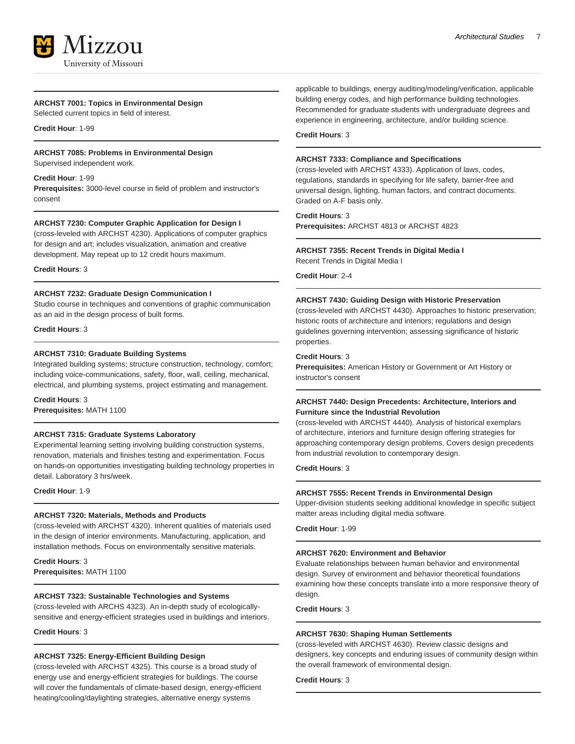#### **ARCHST 7001: Topics in Environmental Design**

Selected current topics in field of interest.

**Credit Hour**: 1-99

### **ARCHST 7085: Problems in Environmental Design**

Supervised independent work.

#### **Credit Hour**: 1-99

**Prerequisites:** 3000-level course in field of problem and instructor's consent

#### **ARCHST 7230: Computer Graphic Application for Design I**

(cross-leveled with ARCHST 4230). Applications of computer graphics for design and art; includes visualization, animation and creative development. May repeat up to 12 credit hours maximum.

**Credit Hours**: 3

#### **ARCHST 7232: Graduate Design Communication I**

Studio course in techniques and conventions of graphic communication as an aid in the design process of built forms.

**Credit Hours**: 3

#### **ARCHST 7310: Graduate Building Systems**

Integrated building systems; structure construction, technology, comfort; including voice-communications, safety, floor, wall, ceiling, mechanical, electrical, and plumbing systems, project estimating and management.

**Credit Hours**: 3 **Prerequisites:** MATH 1100

#### **ARCHST 7315: Graduate Systems Laboratory**

Experimental learning setting involving building construction systems, renovation, materials and finishes testing and experimentation. Focus on hands-on opportunities investigating building technology properties in detail. Laboratory 3 hrs/week.

**Credit Hour**: 1-9

#### **ARCHST 7320: Materials, Methods and Products**

(cross-leveled with ARCHST 4320). Inherent qualities of materials used in the design of interior environments. Manufacturing, application, and installation methods. Focus on environmentally sensitive materials.

**Credit Hours**: 3 **Prerequisites:** MATH 1100

#### **ARCHST 7323: Sustainable Technologies and Systems**

(cross-leveled with ARCHS 4323). An in-depth study of ecologicallysensitive and energy-efficient strategies used in buildings and interiors.

**Credit Hours**: 3

#### **ARCHST 7325: Energy-Efficient Building Design**

(cross-leveled with ARCHST 4325). This course is a broad study of energy use and energy-efficient strategies for buildings. The course will cover the fundamentals of climate-based design, energy-efficient heating/cooling/daylighting strategies, alternative energy systems

applicable to buildings, energy auditing/modeling/verification, applicable building energy codes, and high performance building technologies. Recommended for graduate students with undergraduate degrees and experience in engineering, architecture, and/or building science.

#### **Credit Hours**: 3

#### **ARCHST 7333: Compliance and Specifications**

(cross-leveled with ARCHST 4333). Application of laws, codes, regulations, standards in specifying for life safety, barrier-free and universal design, lighting, human factors, and contract documents. Graded on A-F basis only.

#### **Credit Hours**: 3

**Prerequisites:** ARCHST 4813 or ARCHST 4823

#### **ARCHST 7355: Recent Trends in Digital Media I**

Recent Trends in Digital Media I

**Credit Hour**: 2-4

#### **ARCHST 7430: Guiding Design with Historic Preservation**

(cross-leveled with ARCHST 4430). Approaches to historic preservation; historic roots of architecture and interiors; regulations and design guidelines governing intervention; assessing significance of historic properties.

#### **Credit Hours**: 3

**Prerequisites:** American History or Government or Art History or instructor's consent

#### **ARCHST 7440: Design Precedents: Architecture, Interiors and Furniture since the Industrial Revolution**

(cross-leveled with ARCHST 4440). Analysis of historical exemplars of architecture, interiors and furniture design offering strategies for approaching contemporary design problems. Covers design precedents from industrial revolution to contemporary design.

**Credit Hours**: 3

#### **ARCHST 7555: Recent Trends in Environmental Design**

Upper-division students seeking additional knowledge in specific subject matter areas including digital media software.

**Credit Hour**: 1-99

#### **ARCHST 7620: Environment and Behavior**

Evaluate relationships between human behavior and environmental design. Survey of environment and behavior theoretical foundations examining how these concepts translate into a more responsive theory of design.

**Credit Hours**: 3

#### **ARCHST 7630: Shaping Human Settlements**

(cross-leveled with ARCHST 4630). Review classic designs and designers, key concepts and enduring issues of community design within the overall framework of environmental design.

**Credit Hours**: 3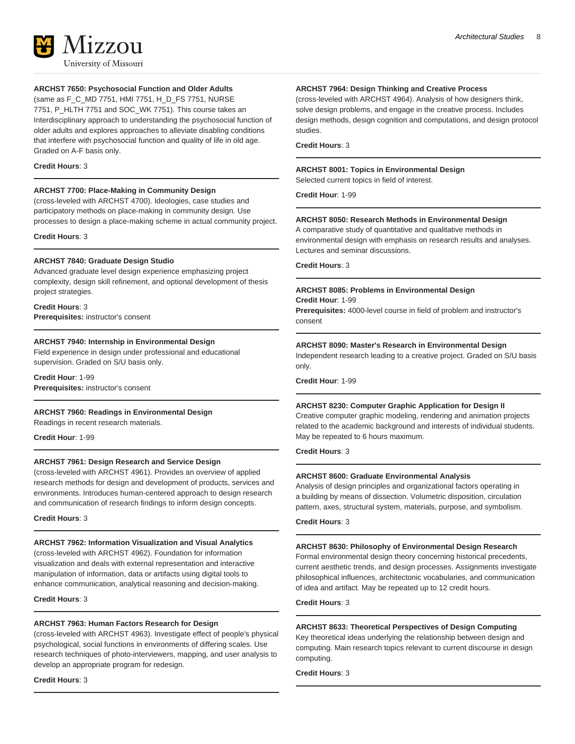

### **ARCHST 7650: Psychosocial Function and Older Adults**

(same as F\_C\_MD 7751, HMI 7751, H\_D\_FS 7751, NURSE 7751, P\_HLTH 7751 and SOC\_WK 7751). This course takes an Interdisciplinary approach to understanding the psychosocial function of older adults and explores approaches to alleviate disabling conditions that interfere with psychosocial function and quality of life in old age. Graded on A-F basis only.

#### **Credit Hours**: 3

#### **ARCHST 7700: Place-Making in Community Design**

(cross-leveled with ARCHST 4700). Ideologies, case studies and participatory methods on place-making in community design. Use processes to design a place-making scheme in actual community project.

#### **Credit Hours**: 3

#### **ARCHST 7840: Graduate Design Studio**

Advanced graduate level design experience emphasizing project complexity, design skill refinement, and optional development of thesis project strategies.

#### **Credit Hours**: 3

**Prerequisites:** instructor's consent

#### **ARCHST 7940: Internship in Environmental Design**

Field experience in design under professional and educational supervision. Graded on S/U basis only.

**Credit Hour**: 1-99 **Prerequisites:** instructor's consent

#### **ARCHST 7960: Readings in Environmental Design**

Readings in recent research materials.

**Credit Hour**: 1-99

#### **ARCHST 7961: Design Research and Service Design**

(cross-leveled with ARCHST 4961). Provides an overview of applied research methods for design and development of products, services and environments. Introduces human-centered approach to design research and communication of research findings to inform design concepts.

**Credit Hours**: 3

#### **ARCHST 7962: Information Visualization and Visual Analytics** (cross-leveled with ARCHST 4962). Foundation for information visualization and deals with external representation and interactive manipulation of information, data or artifacts using digital tools to enhance communication, analytical reasoning and decision-making.

#### **Credit Hours**: 3

#### **ARCHST 7963: Human Factors Research for Design**

(cross-leveled with ARCHST 4963). Investigate effect of people's physical psychological, social functions in environments of differing scales. Use research techniques of photo-interviewers, mapping, and user analysis to develop an appropriate program for redesign.

**Credit Hours**: 3

#### **ARCHST 7964: Design Thinking and Creative Process**

(cross-leveled with ARCHST 4964). Analysis of how designers think, solve design problems, and engage in the creative process. Includes design methods, design cognition and computations, and design protocol studies.

**Credit Hours**: 3

#### **ARCHST 8001: Topics in Environmental Design**

Selected current topics in field of interest.

**Credit Hour**: 1-99

#### **ARCHST 8050: Research Methods in Environmental Design**

A comparative study of quantitative and qualitative methods in environmental design with emphasis on research results and analyses. Lectures and seminar discussions.

**Credit Hours**: 3

#### **ARCHST 8085: Problems in Environmental Design**

**Credit Hour**: 1-99

**Prerequisites:** 4000-level course in field of problem and instructor's consent

#### **ARCHST 8090: Master's Research in Environmental Design**

Independent research leading to a creative project. Graded on S/U basis only.

**Credit Hour**: 1-99

#### **ARCHST 8230: Computer Graphic Application for Design II**

Creative computer graphic modeling, rendering and animation projects related to the academic background and interests of individual students. May be repeated to 6 hours maximum.

#### **Credit Hours**: 3

#### **ARCHST 8600: Graduate Environmental Analysis**

Analysis of design principles and organizational factors operating in a building by means of dissection. Volumetric disposition, circulation pattern, axes, structural system, materials, purpose, and symbolism.

#### **Credit Hours**: 3

#### **ARCHST 8630: Philosophy of Environmental Design Research**

Formal environmental design theory concerning historical precedents, current aesthetic trends, and design processes. Assignments investigate philosophical influences, architectonic vocabularies, and communication of idea and artifact. May be repeated up to 12 credit hours.

#### **Credit Hours**: 3

#### **ARCHST 8633: Theoretical Perspectives of Design Computing**

Key theoretical ideas underlying the relationship between design and computing. Main research topics relevant to current discourse in design computing.

**Credit Hours**: 3